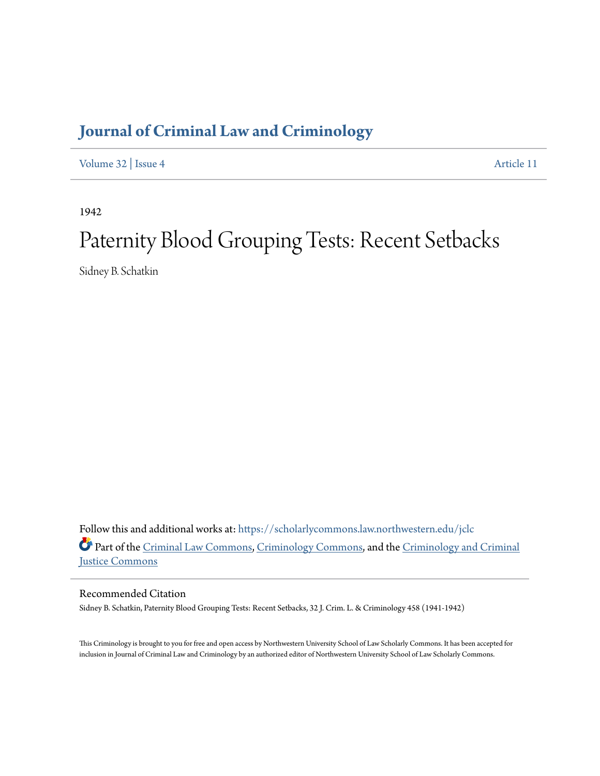## **[Journal of Criminal Law and Criminology](https://scholarlycommons.law.northwestern.edu/jclc?utm_source=scholarlycommons.law.northwestern.edu%2Fjclc%2Fvol32%2Fiss4%2F11&utm_medium=PDF&utm_campaign=PDFCoverPages)**

[Volume 32](https://scholarlycommons.law.northwestern.edu/jclc/vol32?utm_source=scholarlycommons.law.northwestern.edu%2Fjclc%2Fvol32%2Fiss4%2F11&utm_medium=PDF&utm_campaign=PDFCoverPages) | [Issue 4](https://scholarlycommons.law.northwestern.edu/jclc/vol32/iss4?utm_source=scholarlycommons.law.northwestern.edu%2Fjclc%2Fvol32%2Fiss4%2F11&utm_medium=PDF&utm_campaign=PDFCoverPages) [Article 11](https://scholarlycommons.law.northwestern.edu/jclc/vol32/iss4/11?utm_source=scholarlycommons.law.northwestern.edu%2Fjclc%2Fvol32%2Fiss4%2F11&utm_medium=PDF&utm_campaign=PDFCoverPages)

1942

## Paternity Blood Grouping Tests: Recent Setbacks

Sidney B. Schatkin

Follow this and additional works at: [https://scholarlycommons.law.northwestern.edu/jclc](https://scholarlycommons.law.northwestern.edu/jclc?utm_source=scholarlycommons.law.northwestern.edu%2Fjclc%2Fvol32%2Fiss4%2F11&utm_medium=PDF&utm_campaign=PDFCoverPages) Part of the [Criminal Law Commons](http://network.bepress.com/hgg/discipline/912?utm_source=scholarlycommons.law.northwestern.edu%2Fjclc%2Fvol32%2Fiss4%2F11&utm_medium=PDF&utm_campaign=PDFCoverPages), [Criminology Commons](http://network.bepress.com/hgg/discipline/417?utm_source=scholarlycommons.law.northwestern.edu%2Fjclc%2Fvol32%2Fiss4%2F11&utm_medium=PDF&utm_campaign=PDFCoverPages), and the [Criminology and Criminal](http://network.bepress.com/hgg/discipline/367?utm_source=scholarlycommons.law.northwestern.edu%2Fjclc%2Fvol32%2Fiss4%2F11&utm_medium=PDF&utm_campaign=PDFCoverPages) [Justice Commons](http://network.bepress.com/hgg/discipline/367?utm_source=scholarlycommons.law.northwestern.edu%2Fjclc%2Fvol32%2Fiss4%2F11&utm_medium=PDF&utm_campaign=PDFCoverPages)

Recommended Citation

Sidney B. Schatkin, Paternity Blood Grouping Tests: Recent Setbacks, 32 J. Crim. L. & Criminology 458 (1941-1942)

This Criminology is brought to you for free and open access by Northwestern University School of Law Scholarly Commons. It has been accepted for inclusion in Journal of Criminal Law and Criminology by an authorized editor of Northwestern University School of Law Scholarly Commons.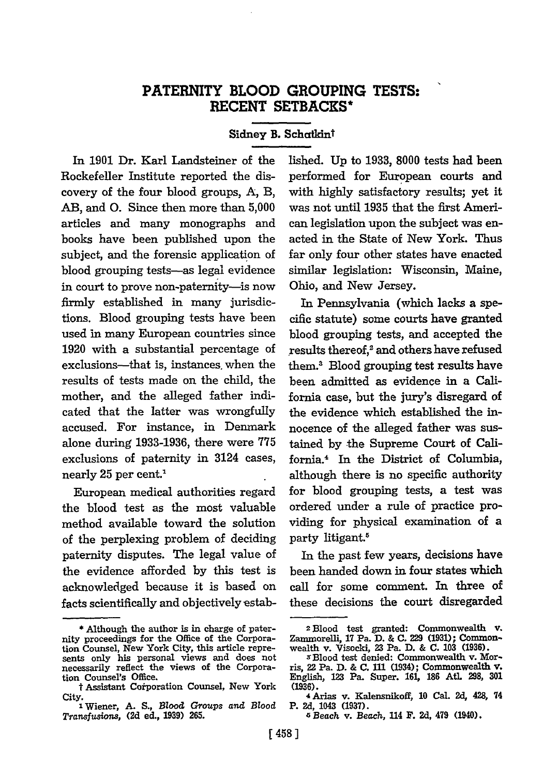## **PATERNITY BLOOD GROUPING TESTS: RECENT SETBACKS\***

Sidney B. Schatkint

In **1901** Dr. Karl Landsteiner of the Rockefeller Institute reported the discovery of the four blood groups, **A,** B, AB, and **0.** Since then more than **5,000** articles and many monographs and books have been published upon the subject, and the forensic application of blood grouping tests-as legal evidence in court to prove non-paternity-is now firmly established in many jurisdictions. Blood grouping tests have been used in many European countries since 1920 with a substantial percentage of exclusions-that is, instances, when the results of tests made on the child, the mother, and the alleged father indicated that the latter was wrongfully accused. For instance, in Denmark alone during 1933-1936, there were 775 exclusions of paternity in 3124 cases, nearly 25 per cent.'

European medical authorities regard the blood test as the most valuable method available toward the solution of the perplexing problem of deciding paternity disputes. The legal value of the evidence afforded by this test is acknowledged because it is based on facts scientifically and objectively established. **Up** to **1933, 8000** tests had been performed for European courts and with highly satisfactory results; yet it was not until 1935 that the first American legislation upon the subject was enacted in the State of New York. Thus far only four other states have enacted similar legislation: Wisconsin, Maine, Ohio, and New Jersey.

In Pennsylvania (which lacks a specific statute) some courts have granted blood grouping tests, and accepted the results thereof,<sup>2</sup> and others have refused them.<sup>3</sup> Blood grouping test results have been admitted as evidence in a California case, but the jury's disregard of the evidence which established the innocence of the alleged father was sustained by the Supreme Court of California.4 In the District of Columbia, although there is no specific authority for blood grouping tests, a test was ordered under a rule of practice providing for physical examination of a party litigant.5

In the past few years, decisions have been handed down in four states which call for some comment. In three of these decisions the court disregarded

**<sup>\*</sup>** Although the author is in charge of paternity proceedings for the Office of the Corporation Counsel, New York City, this article represents only his personal views and does not necessarily reflect the views of the Corporation Counsel's Office.

t Assistant Coiporation Counsel, New York City.

**<sup>1</sup>** Wiener, **A.** *S., Blood* Groups *and* Blood *Transfusions,* **(2d** ed., **1939) 265.**

<sup>21</sup>Blood test granted: Commonwealth v. Zammorelli, **17** Pa. **D.** & **C. 229 (1931);** Commonwealth v. Visocki, **23** Pa. D. & **C. 103 (1936).**

xBlood test denied: Commonwealth v. Morris, 22 Pa. **D.** & **C.** Mll (1934); Commonwealth **V.** English, **123** Pa. Super. **161, 186** AtL **298, 301 (1936).**

<sup>4</sup>Arias v. Kalensnikoff, **10** Cal. 2d, 428, 74 P. **2d,** 1043 **(1937).**

**<sup>4</sup>** *Beach* v. *Beach,* **114** F. **2d,** 479 (1940).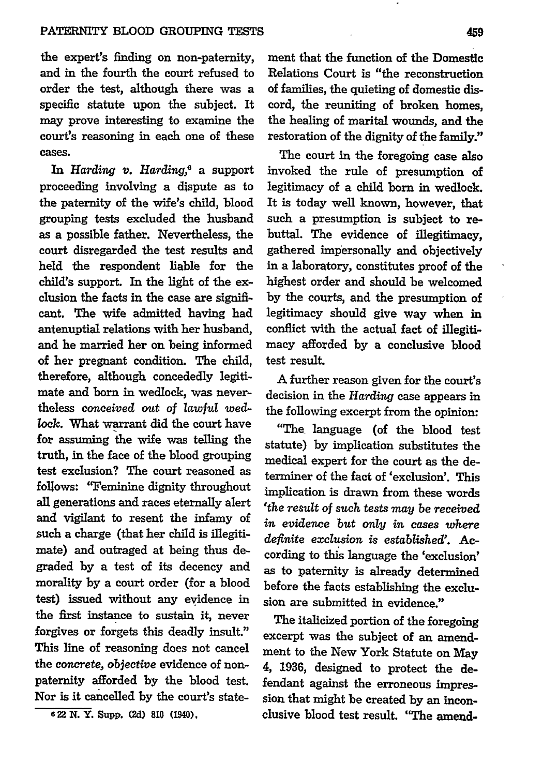the expert's finding on non-paternity, and in the fourth the court refused to order the test, although there was a specific statute upon the subject. It may prove interesting to examine the court's reasoning in each one of these cases.

In *Harding v, Harding,"* a support proceeding involving a dispute as to the paternity of the wife's child, blood grouping tests excluded the husband as a possible father. Nevertheless, the court disregarded the test results and held the respondent liable for the child's support. In the light of the exclusion the facts in the case are significant. The wife admitted having had antenuptial relations with her husband, and he married her on being informed of her pregnant condition. The child, therefore, although concededly legitimate and born in wedlock, was nevertheless conceived *out of lawful wedlock.* What warrant did the court have for assuming the wife was telling the truth, in the face of the blood grouping test exclusion? The court reasoned as follows: "Feminine dignity throughout all generations and races eternally alert and vigilant to resent the infamy of such a charge (that her child is illegitimate) and outraged at being thus degraded by a test of its decency and morality by a court order (for a blood test) issued without any evidence in the first instance to sustain it, never forgives or forgets this deadly insult." This line of reasoning does not cancel the concrete, *objective* evidence of nonpaternity afforded by the blood test. Nor is it cancelled by the court's state-

**8 22 N. Y. Supp. (2d) 810 (1940).**

ment that the function of the Domestic Relations Court is "the reconstruction of families, the quieting of domestic discord, the reuniting of broken homes, the healing of marital wounds, and the restoration of the dignity of the family."

The court in the foregoing case also invoked the rule of presumption of legitimacy of a child born in wedlock. It is today well known, however, that such a presumption is subject to rebuttal. The evidence of illegitimacy, gathered impersonally and objectively in a laboratory, constitutes proof of the highest order and should be welcomed **by** the courts, and the presumption of legitimacy should give way when in conflict with the actual fact of illegitimacy afforded **by** a conclusive blood test result.

A further reason given for the court's decision in the *Harding* case appears in the following excerpt from the opinion:

"The language (of the blood test statute) by implication substitutes the medical expert for the court as the determiner of the fact of 'exclusion'. This implication is drawn from these words *'the result of such tests may* be *received in evidence but only in cases where definite exclusion is established'.* According to this language the 'exclusion' as to paternity is already determined before the facts establishing the exclusion are submitted in evidence."

The italicized portion of the foregoing excerpt was the subject of an amendment to the New York Statute on May 4, **1936,** designed to protect the defendant against the erroneous impression that might be created by an inconclusive blood test result. "The amend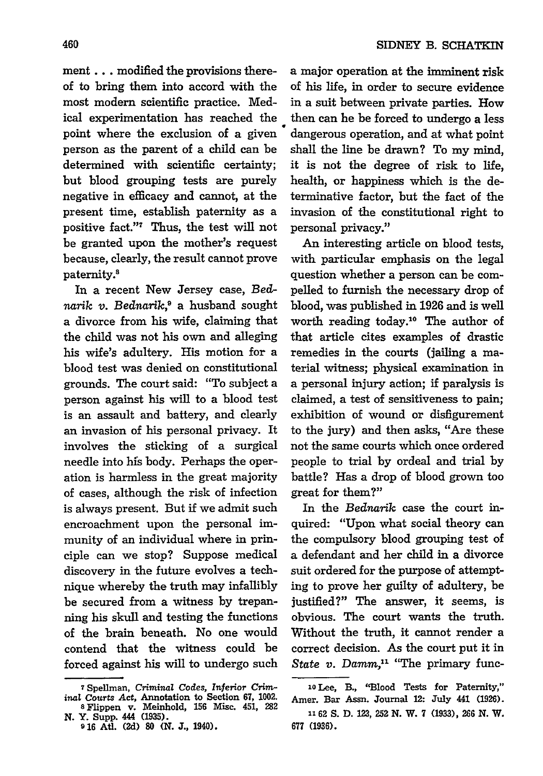ment... modified the provisions thereof to bring them into accord with the most modem scientific practice. Medical experimentation has reached the point where the exclusion of a given person as the parent of a child can be determined with scientific certainty; but blood grouping tests are purely negative in efficacy and cannot, at the present time, establish paternity as a positive fact."<sup>7</sup> Thus, the test will not be granted upon the mother's request because, clearly, the result cannot prove paternity.<sup>8</sup>

In a recent New Jersey case, *Bednarik v. Bednarik,9* a husband sought a divorce from his wife, claiming that the child was not his own and alleging his wife's adultery. His motion for a blood test was denied on constitutional grounds. The court said: "To subject a person against his will to a blood test is an assault and battery, and clearly an invasion of his personal privacy. It involves the sticking of a surgical needle into hfs body. Perhaps the operation is harmless in the great majority of cases, although the risk of infection is always present. But if we admit such encroachment upon the personal immunity of an individual where in principle can we stop? Suppose medical discovery in the future evolves a technique whereby the truth may infallibly be secured from a witness by trepanning his skull and testing the functions of the brain beneath. No one would contend that the witness could be forced against his will to undergo such a major operation at the imminent risk of his life, in order to secure evidence in a suit between private parties. How then can he be forced to undergo a less dangerous operation, and at what point shall the line be drawn? To my mind, it is not the degree of risk to life, health, or happiness which is the determinative factor, but the fact of the invasion of the constitutional right to personal privacy."

An interesting article on blood tests, with particular emphasis on the legal question whether a person can be compelled to furnish the necessary drop of blood, was published in 1926 and is well worth reading today.<sup>10</sup> The author of that article cites examples of drastic remedies in the courts (jailing a material witness; physical examination in a personal injury action; if paralysis is claimed, a test of sensitiveness to pain; exhibition of wound or disfigurement to the jury) and then asks, "Are these not the same courts which once ordered people to trial by ordeal and trial by battle? Has a drop of blood grown too great for them?"

In the *Bednarik* case the court inquired: "Upon what social theory can the compulsory blood grouping test of a defendant and her child in a divorce suit ordered for the purpose of attempting to prove her guilty of adultery, be justified?" The answer, it seems, is obvious. The court wants the truth. Without the truth, it cannot render a correct decision. As the court put it in *State v. Damm,"1* "The primary func-

<sup>7</sup>Spellman, Criminal *Codes, Inferior* Crim*inal* Courts *Act,* Annotation to Section **67,** 1002. sFlippen v. Meinhold, **156** Misc. 451, **<sup>282</sup> N.** Y. Supp. 444 **(1935).**

**<sup>916</sup>** AUt. **(2d) 80 (N. J.,** 1940).

**<sup>1</sup>o** Lee, B., "9Blood Tests for Paternity," Amer. Bar Assn. Journal 12: July 441 **(1926). 1i 62 S. D. 123, 252 N.** W. **7 (1933), 266 N.** W. **677 (1936).**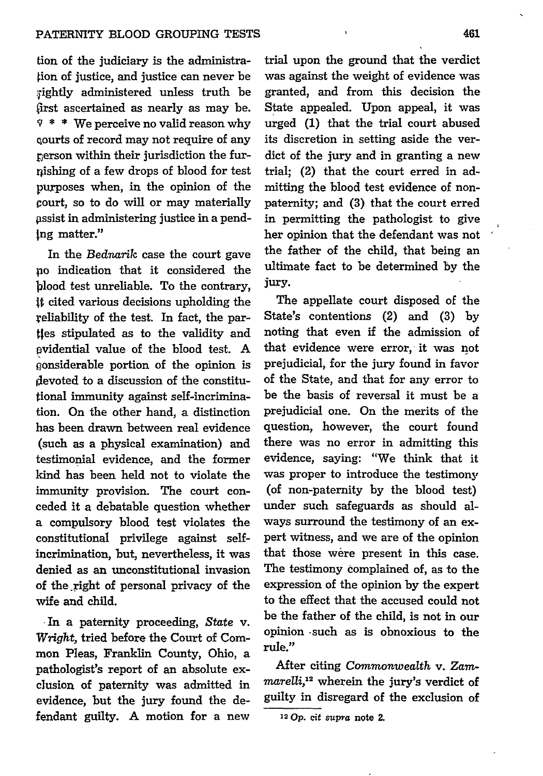tion of the judiciary is the administration of justice, and justice can never be 7ightly administered unless truth be first ascertained as nearly as may be. **5** \* **\*** We perceive no valid reason why qourts of record may not require of any person within their jurisdiction the fur-4ishing of a few drops of blood for test purposes when, in the opinion of the court, so to do will or may materially pssist in administering justice in a pending matter."

In the *Bednarik* case the court gave po indication that it considered the blood test unreliable. To the contrary, it cited various decisions upholding the reliability of the test. In fact, the parties stipulated as to the validity and evidential value of the blood test. A ponsiderable portion of the opinion is devoted to a discussion of the constitutional immunity against self-incrimination. On the other hand, a distinction has been drawn between real evidence (such as a physical examination) and testimonial evidence, and the former kind has been held not to violate the immunity provision. The court conceded it a debatable question whether a compulsory blood test violates the constitutional privilege against selfincrimination, but, nevertheless, it was denied as an unconstitutional invasion of the.right of personal privacy of the wife and child.

-In a paternity proceeding, State v. *Wright,* tried before the Court of Common Pleas, Franklin County, Ohio, a pathologist's report of an absolute exclusion of paternity was admitted in evidence, but the jury found the defendant guilty. **A** motion for a new

trial upon the ground that the verdict was against the weight of evidence was granted, and from this decision the State appealed. Upon appeal, it was urged (1) that the trial court abused its discretion in setting aside the verdict of the jury and in granting a new trial; (2) that the court erred in admitting the blood test evidence of nonpaternity; and (3) that the court erred in permitting the pathologist to give her opinion that the defendant was not the father of the child, that being an ultimate fact to be determined by the jury.

The appellate court disposed of the State's contentions (2) and (3) by noting that even **if** the admission of that evidence were error, it was not prejudicial, for the jury found in favor of the State, and that for any error to be the basis of reversal it must be a prejudicial one. On the merits of the question, however, the court found there was no error in admitting this evidence, saying: "We think that it was proper to introduce the testimony (of non-paternity by the blood test) under such safeguards as should always surround the testimony of an expert witness, and we are of the opinion that those were present in this case. The testimony complained of, as to the expression of the opinion by the expert to the effect that the accused could not be the father of the child, is not in our opinion .such as is obnoxious to the rule."

After citing *Commonwealth* v. *Zammarelli,12* wherein the jury's verdict of guilty in disregard of the exclusion of

**<sup>12</sup> op.** cit supra note **2.**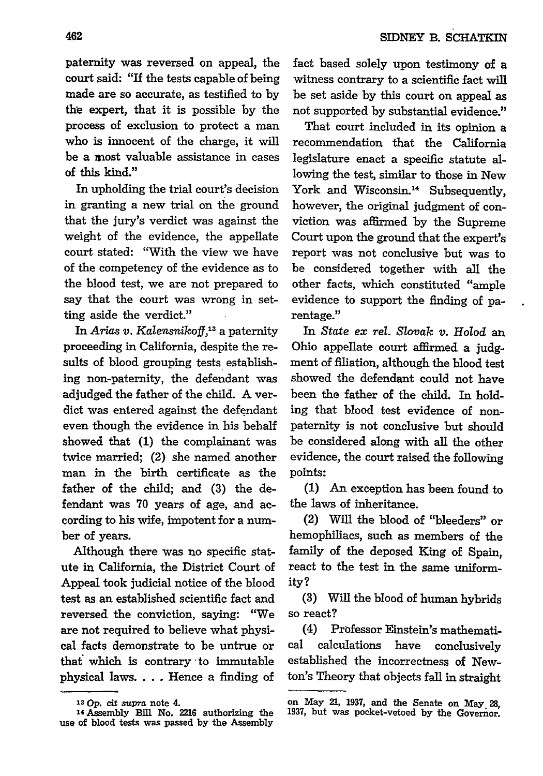paternity was reversed on appeal, the court said: "If the tests capable of being made are so accurate, as testified to **by** the expert, that it is possible by the process of exclusion to protect a man who is innocent of the charge, it will be a most valuable assistance in cases of this kind."

In upholding the trial court's decision in granting a new trial on the ground that the jury's verdict was against the weight of the evidence, the appellate court stated: "With the view we have of the competency of the evidence as to the blood test, we are not prepared to say that the court was wrong in setting aside the verdict."

In *Arias v. Kalensnikoff,13* a paternity proceeding in California, despite the results of blood grouping tests establishing non-paternity, the defendant was adjudged the father of the child. A verdict was entered against the defendant even though the evidence in his behalf showed that **(1)** the complainant was twice married; (2) she named another man in the birth certificate as the father of the child; and (3) the defendant was **70** years of age, and according to his wife, impotent for a number of years.

Although there was no specific statute in California, the District Court of Appeal took judicial notice of the blood test as an established scientific fact and reversed the conviction, saying: "We are not required to believe what physical facts demonstrate to be untrue or that which is contrary to immutable physical laws **....** Hence a finding of

fact based solely upon testimony of a witness contrary to a scientific fact will be set aside by this court on appeal as not supported by substantial evidence."

That court included in its opinion a recommendation that the California legislature enact a specific statute allowing the test, similar to those in New York and Wisconsin.<sup>14</sup> Subsequently, however, the original judgment of conviction was affirmed by the Supreme Court upon the ground that the expert's report was not conclusive but was to be considered together with all the other facts, which constituted "ample evidence to support the finding of parentage."

In *State ex* rel. Slovak *v.* Holod an Ohio appellate court affirmed a judgment of filiation, although the blood test showed the defendant could not have been the father of the child. In holding that blood test evidence of nonpaternity is not conclusive but should be considered along with all the other evidence, the court raised the following points:

(1) An exception has been found to the laws of inheritance.

(2) Will the blood of "bleeders" or hemophiliacs, such as members of the family of the deposed King of Spain, react to the test in the same uniformity?

(3) Will the blood of human hybrids so react?

(4) Professor Einstein's mathematical calculations have conclusively established the incorrectness of Newton's Theory that objects fall in straight

**<sup>13</sup>Op.** cit supra note 4.

<sup>14</sup>Assembly Bill No. **2216** authorizing the use of blood tests was passed **by** the Assembly

on May 21, **1937,** and the Senate on May *28,* 1937, but was pocket-vetoed **by** the Governor.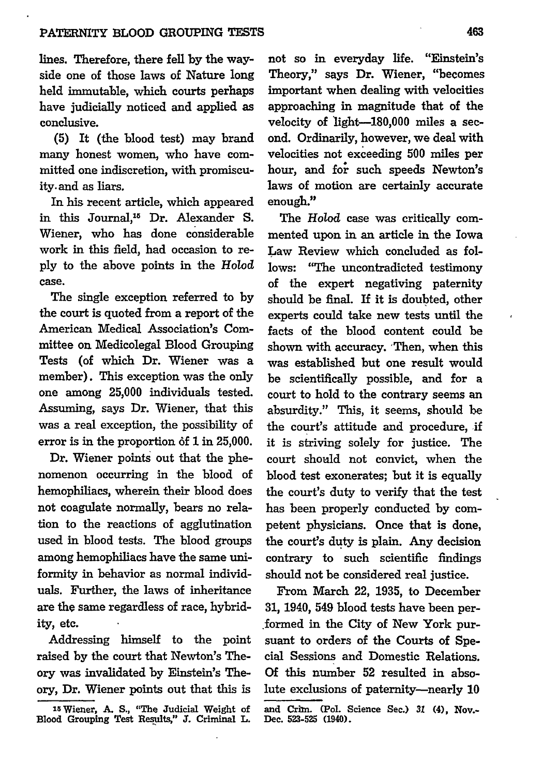lines. Therefore, there fell **by** the wayside one of those laws of Nature long held immutable, which courts perhaps have judicially noticed and applied as conclusive.

**(5)** It (the blood test) may brand many honest women, who have committed one indiscretion, with promiscuity. and as liars.

In his recent article, which appeared in this Journal,"" Dr. Alexander S. Wiener, who has done considerable work in this field, had occasion to reply to the above points in the *Holod* case.

The single exception referred to by the court is quoted from a report of the American Medical Association's Committee on Medicolegal Blood Grouping Tests (of which Dr. Wiener was a member). This exception was the only one among **25,000** individuals tested. Assuming, says Dr. Wiener, that this was a real exception, the possibility of error is in the proportion **6f** 1 in 25,000.

Dr. Wiener points out that the phenomenon occurring in the blood of hemophiliacs, wherein their blood does not coagulate normally, bears no relation to the reactions of agglutination used in blood tests. The blood groups among hemophiliacs have the same uniformity in behavior as normal individuals. Further, the laws of inheritance are the same regardless of race, hybridity, etc.

Addressing himself to the point raised by the court that Newton's Theory was invalidated by Einstein's Theory, Dr. Wiener points out that this is

not so in everyday life. "Einstein's Theory," says Dr. Wiener, "becomes important when dealing with velocities approaching in magnitude that of the velocity of light-180,000 miles a second. Ordinarily, however, we deal with velocities not exceeding **500** miles per hour, and for such speeds Newton's laws of motion are certainly accurate enough."

The *Holod* case was critically commented upon in an article in the Iowa Law Review which concluded as follows: "The uncontradicted testimony of the expert negativing paternity should be final. If it is doubted, other experts could take new tests until the facts of the blood content could be shown with accuracy. 'Then, when this was established but one result would be scientifically possible, and for a court to hold to the contrary seems an absurdity." This, it seems, should be the court's attitude and procedure, if it is striving solely for justice. The court should not convict, when the blood test exonerates; but it is equally the court's duty to verify that the test has been properly conducted **by** competent physicians. Once that is done, the court's duty is plain. Any decision contrary to such scientific findings should not be considered real justice.

From March 22, **1935,** to December **31,** 1940, 549 blood tests have been per- ,formed in the City of New York pursuant to orders of the Courts of Special Sessions and Domestic Relations. Of this number **52** resulted in absolute exclusions of paternity-nearly **10**

**is** Wiener, **A. S.,** "The Judicial Weight of Blood Grouping Test Results," **J.** Criminal L.

and Crim. (Pol. Science Sec.) 31 (4), Nov.-Dec. **523-525** (1940).